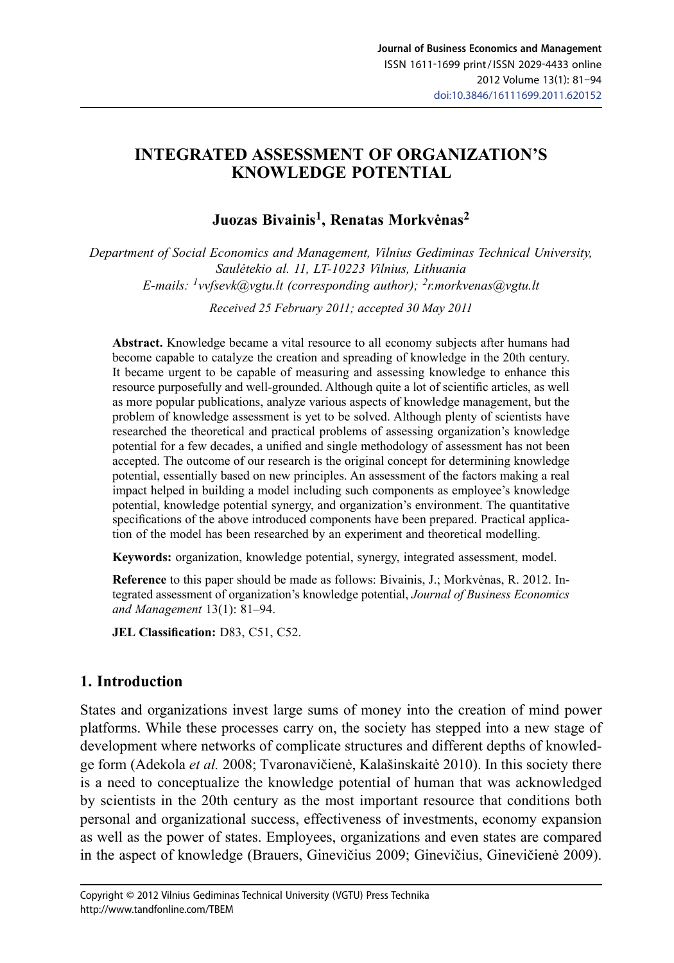## **Integrated Assessment of organization's knowledge potential**

## **Juozas Bivainis1, Renatas Morkvėnas<sup>2</sup>**

*Department of Social Economics and Management, Vilnius Gediminas Technical University, Saulėtekio al. 11, LT-10223 Vilnius, Lithuania E-mails: [1vvfsevk@vgtu.lt](mailto:1vvfsevk@vgtu.lt) (corresponding author); 2r.morkvenas@vgtu.lt*

*Received 25 February 2011; accepted 30 May 2011*

**Abstract.** Knowledge became a vital resource to all economy subjects after humans had become capable to catalyze the creation and spreading of knowledge in the 20th century. It became urgent to be capable of measuring and assessing knowledge to enhance this resource purposefully and well-grounded. Although quite a lot of scientific articles, as well as more popular publications, analyze various aspects of knowledge management, but the problem of knowledge assessment is yet to be solved. Although plenty of scientists have researched the theoretical and practical problems of assessing organization's knowledge potential for a few decades, a unified and single methodology of assessment has not been accepted. The outcome of our research is the original concept for determining knowledge potential, essentially based on new principles. An assessment of the factors making a real impact helped in building a model including such components as employee's knowledge potential, knowledge potential synergy, and organization's environment. The quantitative specifications of the above introduced components have been prepared. Practical application of the model has been researched by an experiment and theoretical modelling.

**Keywords:** organization, knowledge potential, synergy, integrated assessment, model.

**Reference** to this paper should be made as follows: Bivainis, J.; Morkvėnas, R. 2012. Integrated assessment of organization's knowledge potential, *Journal of Business Economics and Management* 13(1): 81–94.

**JEL Classification:** D83, C51, C52.

## **1. Introduction**

States and organizations invest large sums of money into the creation of mind power platforms. While these processes carry on, the society has stepped into a new stage of development where networks of complicate structures and different depths of knowledge form (Adekola *et al.* 2008; Tvaronavičienė, Kalašinskaitė 2010). In this society there is a need to conceptualize the knowledge potential of human that was acknowledged by scientists in the 20th century as the most important resource that conditions both personal and organizational success, effectiveness of investments, economy expansion as well as the power of states. Employees, organizations and even states are compared in the aspect of knowledge (Brauers, Ginevičius 2009; Ginevičius, Ginevičienė 2009).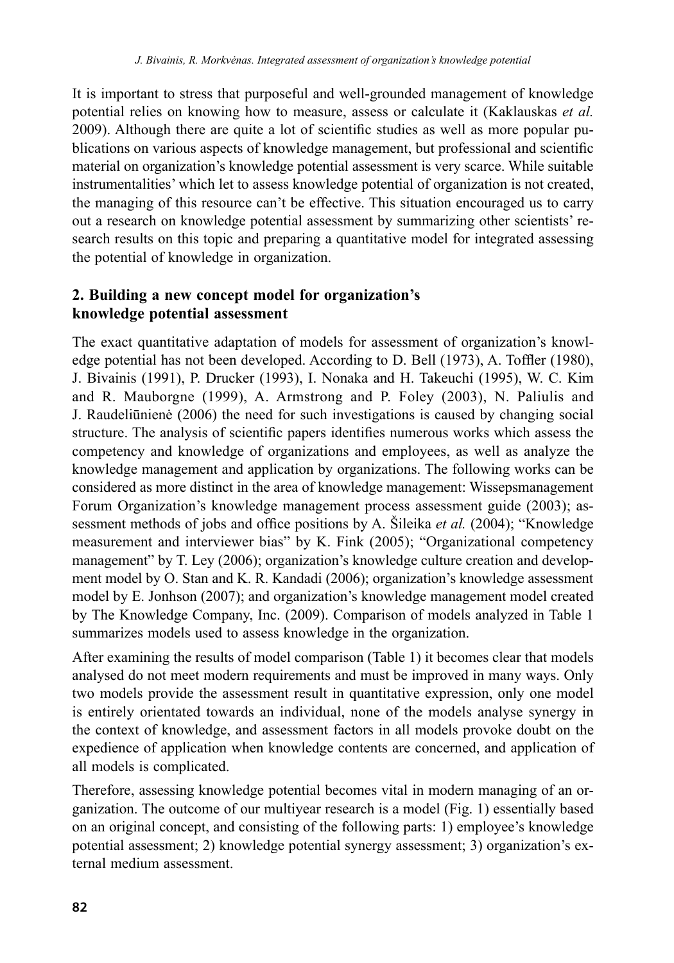It is important to stress that purposeful and well-grounded management of knowledge potential relies on knowing how to measure, assess or calculate it (Kaklauskas *et al.* 2009). Although there are quite a lot of scientific studies as well as more popular publications on various aspects of knowledge management, but professional and scientific material on organization's knowledge potential assessment is very scarce. While suitable instrumentalities' which let to assess knowledge potential of organization is not created, the managing of this resource can't be effective. This situation encouraged us to carry out a research on knowledge potential assessment by summarizing other scientists' research results on this topic and preparing a quantitative model for integrated assessing the potential of knowledge in organization.

## **2. Building a new concept model for organization's knowledge potential assessment**

The exact quantitative adaptation of models for assessment of organization's knowledge potential has not been developed. According to D. Bell (1973), A. Toffler (1980), J. Bivainis (1991), P. Drucker (1993), I. Nonaka and H. Takeuchi (1995), W. C. Kim and R. Mauborgne (1999), A. Armstrong and P. Foley (2003), N. Paliulis and J. Raudeliūnienė (2006) the need for such investigations is caused by changing social structure. The analysis of scientific papers identifies numerous works which assess the competency and knowledge of organizations and employees, as well as analyze the knowledge management and application by organizations. The following works can be considered as more distinct in the area of knowledge management: Wissepsmanagement Forum Organization's knowledge management process assessment guide (2003); assessment methods of jobs and office positions by A. Šileika *et al.* (2004); "Knowledge measurement and interviewer bias" by K. Fink (2005); "Organizational competency management" by T. Ley (2006); organization's knowledge culture creation and development model by O. Stan and K. R. Kandadi (2006); organization's knowledge assessment model by E. Jonhson (2007); and organization's knowledge management model created by The Knowledge Company, Inc. (2009). Comparison of models analyzed in Table 1 summarizes models used to assess knowledge in the organization.

After examining the results of model comparison (Table 1) it becomes clear that models analysed do not meet modern requirements and must be improved in many ways. Only two models provide the assessment result in quantitative expression, only one model is entirely orientated towards an individual, none of the models analyse synergy in the context of knowledge, and assessment factors in all models provoke doubt on the expedience of application when knowledge contents are concerned, and application of all models is complicated.

Therefore, assessing knowledge potential becomes vital in modern managing of an organization. The outcome of our multiyear research is a model (Fig. 1) essentially based on an original concept, and consisting of the following parts: 1) employee's knowledge potential assessment; 2) knowledge potential synergy assessment; 3) organization's external medium assessment.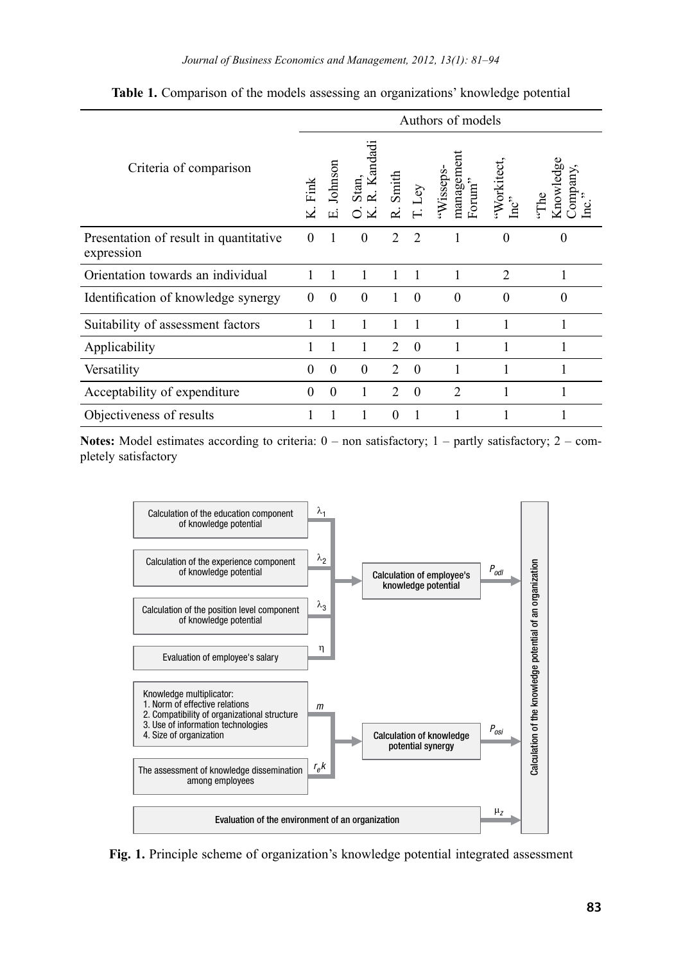|                                                      | Authors of models |               |                 |                |          |                                                                   |                |                           |
|------------------------------------------------------|-------------------|---------------|-----------------|----------------|----------|-------------------------------------------------------------------|----------------|---------------------------|
| Criteria of comparison                               | Fink              | Johnson<br>ம் | andadi<br>Stan, | Smith          |          | management<br>Wisseps-<br>$\mbox{Form}^{\mbox{\tiny \it \prime}}$ | Workitect      | Knowledg<br>ompany,<br>З. |
| Presentation of result in quantitative<br>expression | $\theta$          | 1             | $\theta$        | $\mathfrak{D}$ | 2        | 1                                                                 | $\theta$       | $\theta$                  |
| Orientation towards an individual                    |                   |               | 1               |                |          | 1                                                                 | $\mathfrak{D}$ |                           |
| Identification of knowledge synergy                  | $\theta$          | $\Omega$      | $\theta$        |                | $\Omega$ | $\Omega$                                                          | $\Omega$       | $\Omega$                  |
| Suitability of assessment factors                    |                   |               |                 |                | 1        |                                                                   |                |                           |
| Applicability                                        | 1                 |               | 1               | $\mathfrak{D}$ | $\Omega$ | 1                                                                 | 1              | 1                         |
| Versatility                                          | $\theta$          | $\theta$      | $\theta$        | $\mathfrak{D}$ | $\Omega$ |                                                                   |                |                           |
| Acceptability of expenditure                         | $\theta$          | $\theta$      |                 | $\mathfrak{D}$ | $\theta$ | $\overline{2}$                                                    |                |                           |
| Objectiveness of results                             |                   |               | 1               | $\Omega$       |          |                                                                   |                |                           |

Table 1. Comparison of the models assessing an organizations' knowledge potential

Notes: Model estimates according to criteria:  $0$  – non satisfactory;  $1$  – partly satisfactory;  $2$  – completely satisfactory



**Fig. 1.** Principle scheme of organization's knowledge potential integrated assessment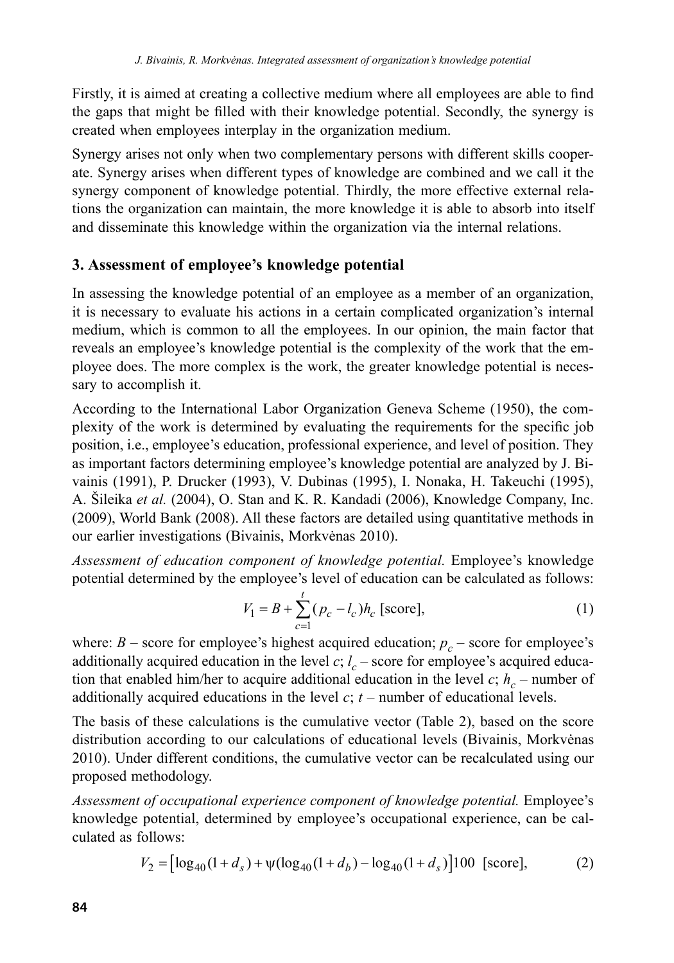Firstly, it is aimed at creating a collective medium where all employees are able to find the gaps that might be filled with their knowledge potential. Secondly, the synergy is created when employees interplay in the organization medium.

Synergy arises not only when two complementary persons with different skills cooperate. Synergy arises when different types of knowledge are combined and we call it the synergy component of knowledge potential. Thirdly, the more effective external relations the organization can maintain, the more knowledge it is able to absorb into itself and disseminate this knowledge within the organization via the internal relations.

### **3. Assessment of employee's knowledge potential**

In assessing the knowledge potential of an employee as a member of an organization, it is necessary to evaluate his actions in a certain complicated organization's internal medium, which is common to all the employees. In our opinion, the main factor that reveals an employee's knowledge potential is the complexity of the work that the employee does. The more complex is the work, the greater knowledge potential is necessary to accomplish it.

According to the International Labor Organization Geneva Scheme (1950), the complexity of the work is determined by evaluating the requirements for the specific job position, i.e., employee's education, professional experience, and level of position. They as important factors determining employee's knowledge potential are analyzed by J. Bivainis (1991), P. Drucker (1993), V. Dubinas (1995), I. Nonaka, H. Takeuchi (1995), A. Šileika *et al.* (2004), O. Stan and K. R. Kandadi (2006), Knowledge Company, Inc. (2009), World Bank (2008). All these factors are detailed using quantitative methods in our earlier investigations (Bivainis, Morkvėnas 2010).

*Assessment of education component of knowledge potential.* Employee's knowledge potential determined by the employee's level of education can be calculated as follows:

$$
V_1 = B + \sum_{c=1}^{t} (p_c - l_c) h_c \text{ [score]},
$$
 (1)

where:  $B$  – score for employee's highest acquired education;  $p_c$  – score for employee's additionally acquired education in the level  $c$ ;  $l_c$  – score for employee's acquired education that enabled him/her to acquire additional education in the level *c*;  $h_c$  – number of additionally acquired educations in the level  $c$ ;  $t$  – number of educational levels.

The basis of these calculations is the cumulative vector (Table 2), based on the score distribution according to our calculations of educational levels (Bivainis, Morkvėnas 2010). Under different conditions, the cumulative vector can be recalculated using our proposed methodology.

*Assessment of occupational experience component of knowledge potential.* Employee's knowledge potential, determined by employee's occupational experience, can be calculated as follows:

$$
V_2 = \left[ \log_{40}(1 + d_s) + \psi(\log_{40}(1 + d_b) - \log_{40}(1 + d_s) \right] 100 \text{ [score]},\tag{2}
$$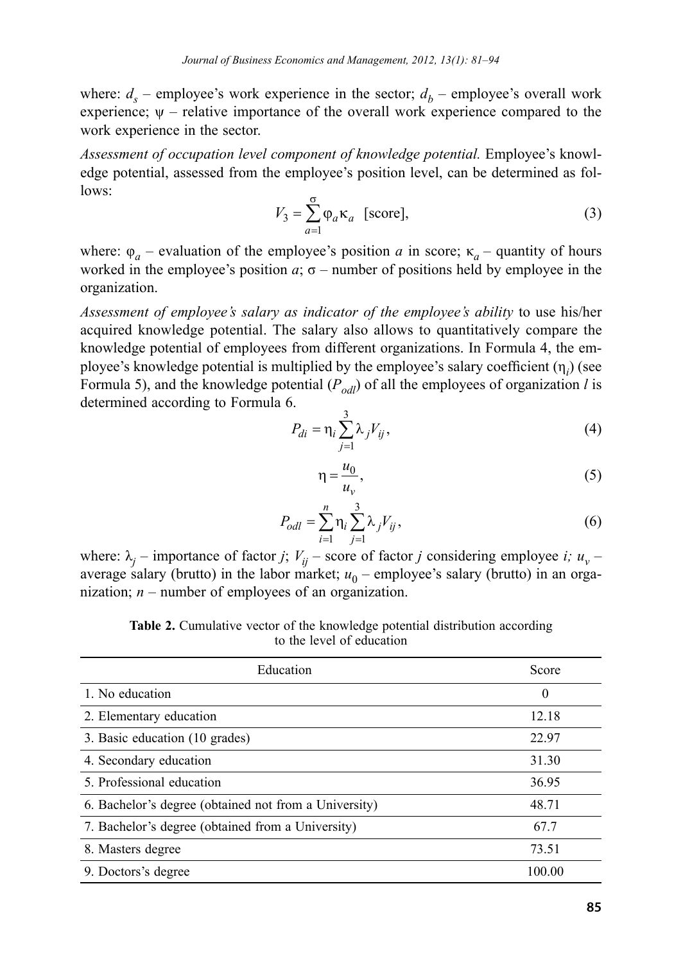where:  $d<sub>s</sub>$  – employee's work experience in the sector;  $d<sub>b</sub>$  – employee's overall work experience;  $\psi$  – relative importance of the overall work experience compared to the work experience in the sector.

*Assessment of occupation level component of knowledge potential.* Employee's knowledge potential, assessed from the employee's position level, can be determined as follows:

$$
V_3 = \sum_{a=1}^{S} \varphi_a \kappa_a \quad \text{[score]},\tag{3}
$$

where:  $\varphi_a$  – evaluation of the employee's position *a* in score;  $\kappa_a$  – quantity of hours worked in the employee's position  $a$ ;  $\sigma$  – number of positions held by employee in the organization.

*Assessment of employee's salary as indicator of the employee's ability* to use his/her acquired knowledge potential. The salary also allows to quantitatively compare the knowledge potential of employees from different organizations. In Formula 4, the employee's knowledge potential is multiplied by the employee's salary coefficient (η*<sup>i</sup>* ) (see Formula 5), and the knowledge potential  $(P_{odl})$  of all the employees of organization *l* is determined according to Formula 6.

$$
P_{di} = \eta_i \sum_{j=1}^{3} \lambda_j V_{ij},\tag{4}
$$

$$
\eta = \frac{u_0}{u_v},\tag{5}
$$

$$
P_{odl} = \sum_{i=1}^{n} \eta_i \sum_{j=1}^{3} \lambda_j V_{ij},
$$
\n(6)

where:  $\lambda_i$  – importance of factor *j*;  $V_{ii}$  – score of factor *j* considering employee *i*;  $u_v$  – average salary (brutto) in the labor market;  $u_0$  – employee's salary (brutto) in an organization; *n* – number of employees of an organization.

**Table 2.** Cumulative vector of the knowledge potential distribution according to the level of education

| Education                                             | Score    |
|-------------------------------------------------------|----------|
| 1. No education                                       | $\Omega$ |
| 2. Elementary education                               | 12.18    |
| 3. Basic education (10 grades)                        | 22.97    |
| 4. Secondary education                                | 31.30    |
| 5. Professional education                             | 36.95    |
| 6. Bachelor's degree (obtained not from a University) | 48.71    |
| 7. Bachelor's degree (obtained from a University)     | 67.7     |
| 8. Masters degree                                     | 73.51    |
| 9. Doctors's degree                                   | 100.00   |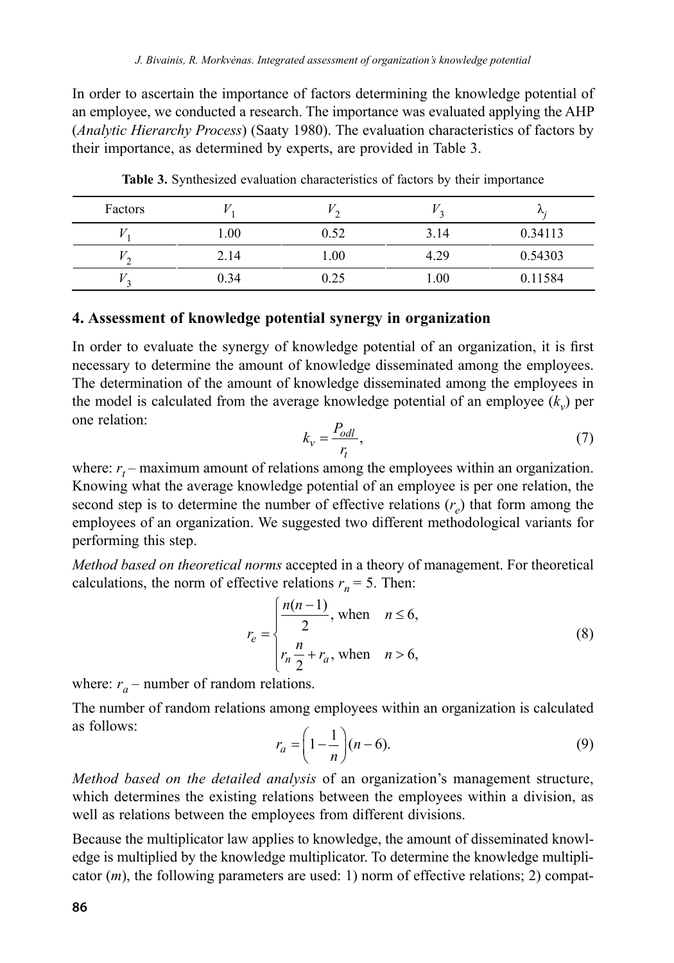In order to ascertain the importance of factors determining the knowledge potential of an employee, we conducted a research. The importance was evaluated applying the AHP (*Analytic Hierarchy Process*) (Saaty 1980). The evaluation characteristics of factors by their importance, as determined by experts, are provided in Table 3.

| Factors |      |      |          | $\mathcal{L}$ |
|---------|------|------|----------|---------------|
|         | 1.00 | 0.52 | 3.14     | 0.34113       |
|         | 2.14 | .00  | 4.29     | 0.54303       |
|         | 0.34 | 0.25 | $1.00\,$ | 0.11584       |

**Table 3.** Synthesized evaluation characteristics of factors by their importance

### **4. Assessment of knowledge potential synergy in organization**

In order to evaluate the synergy of knowledge potential of an organization, it is first necessary to determine the amount of knowledge disseminated among the employees. The determination of the amount of knowledge disseminated among the employees in the model is calculated from the average knowledge potential of an employee  $(k_n)$  per one relation:

$$
k_v = \frac{P_{odl}}{r_t},\tag{7}
$$

where:  $r<sub>t</sub>$  – maximum amount of relations among the employees within an organization. Knowing what the average knowledge potential of an employee is per one relation, the second step is to determine the number of effective relations  $(r<sub>e</sub>)$  that form among the employees of an organization. We suggested two different methodological variants for performing this step.

*Method based on theoretical norms* accepted in a theory of management. For theoretical calculations, the norm of effective relations  $r_n = 5$ . Then:

$$
r_e = \begin{cases} \frac{n(n-1)}{2}, \text{ when } n \le 6, \\ r_n \frac{n}{2} + r_a, \text{ when } n > 6, \end{cases}
$$
 (8)

where:  $r_a$  – number of random relations.

The number of random relations among employees within an organization is calculated as follows:  $r_a = \left( 1 - \frac{1}{n} \right) (n - 6).$ 

$$
r_a = \left(1 - \frac{1}{n}\right)(n - 6). \tag{9}
$$

*Method based on the detailed analysis* of an organization's management structure, which determines the existing relations between the employees within a division, as well as relations between the employees from different divisions.

Because the multiplicator law applies to knowledge, the amount of disseminated knowledge is multiplied by the knowledge multiplicator. To determine the knowledge multiplicator (*m*), the following parameters are used: 1) norm of effective relations; 2) compat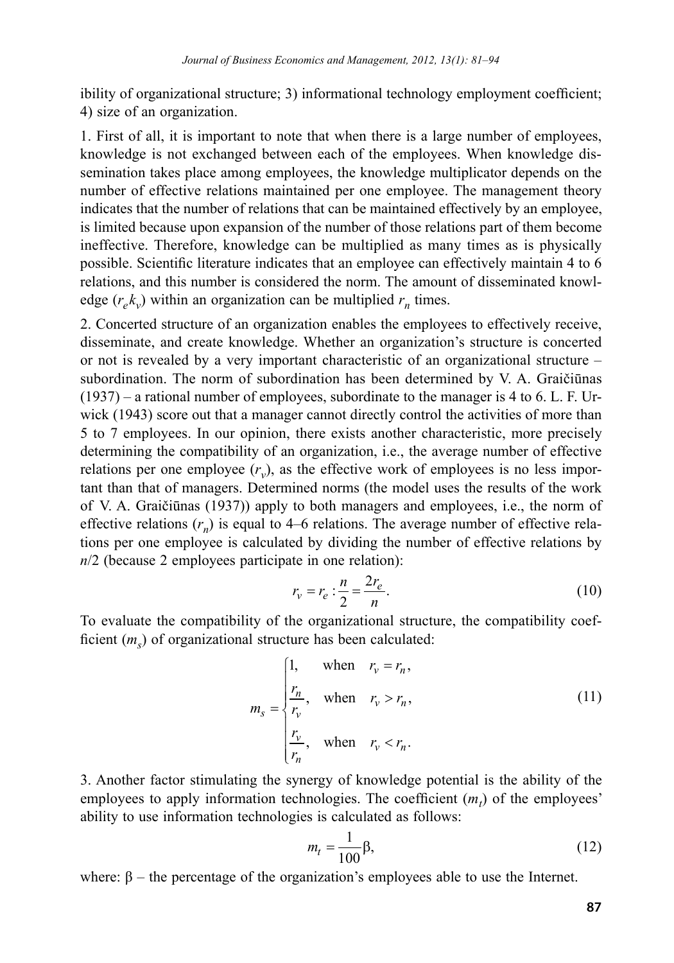ibility of organizational structure; 3) informational technology employment coefficient; 4) size of an organization.

1. First of all, it is important to note that when there is a large number of employees, knowledge is not exchanged between each of the employees. When knowledge dissemination takes place among employees, the knowledge multiplicator depends on the number of effective relations maintained per one employee. The management theory indicates that the number of relations that can be maintained effectively by an employee, is limited because upon expansion of the number of those relations part of them become ineffective. Therefore, knowledge can be multiplied as many times as is physically possible. Scientific literature indicates that an employee can effectively maintain 4 to 6 relations, and this number is considered the norm. The amount of disseminated knowledge  $(r_{e}k_{v})$  within an organization can be multiplied  $r_{n}$  times.

2. Concerted structure of an organization enables the employees to effectively receive, disseminate, and create knowledge. Whether an organization's structure is concerted or not is revealed by a very important characteristic of an organizational structure – subordination. The norm of subordination has been determined by V. A. Graičiūnas (1937) – a rational number of employees, subordinate to the manager is 4 to 6. L. F. Urwick (1943) score out that a manager cannot directly control the activities of more than 5 to 7 employees. In our opinion, there exists another characteristic, more precisely determining the compatibility of an organization, i.e., the average number of effective relations per one employee  $(r_v)$ , as the effective work of employees is no less important than that of managers. Determined norms (the model uses the results of the work of V. A. Graičiūnas (1937)) apply to both managers and employees, i.e., the norm of effective relations  $(r_n)$  is equal to 4–6 relations. The average number of effective relations per one employee is calculated by dividing the number of effective relations by *n*/2 (because 2 employees participate in one relation):

$$
r_v = r_e \cdot \frac{n}{2} = \frac{2r_e}{n}.
$$
 (10)

To evaluate the compatibility of the organizational structure, the compatibility coefficient (*m<sub>s</sub>*) of organizational structure has been calculated:

$$
m_{s} = \begin{cases} 1, & \text{when } r_{v} = r_{n}, \\ \frac{r_{n}}{r_{v}}, & \text{when } r_{v} > r_{n}, \\ \frac{r_{v}}{r_{n}}, & \text{when } r_{v} < r_{n}. \end{cases}
$$
(11)

3. Another factor stimulating the synergy of knowledge potential is the ability of the employees to apply information technologies. The coefficient  $(m_t)$  of the employees' ability to use information technologies is calculated as follows:

$$
m_t = \frac{1}{100} \beta,\tag{12}
$$

where:  $\beta$  – the percentage of the organization's employees able to use the Internet.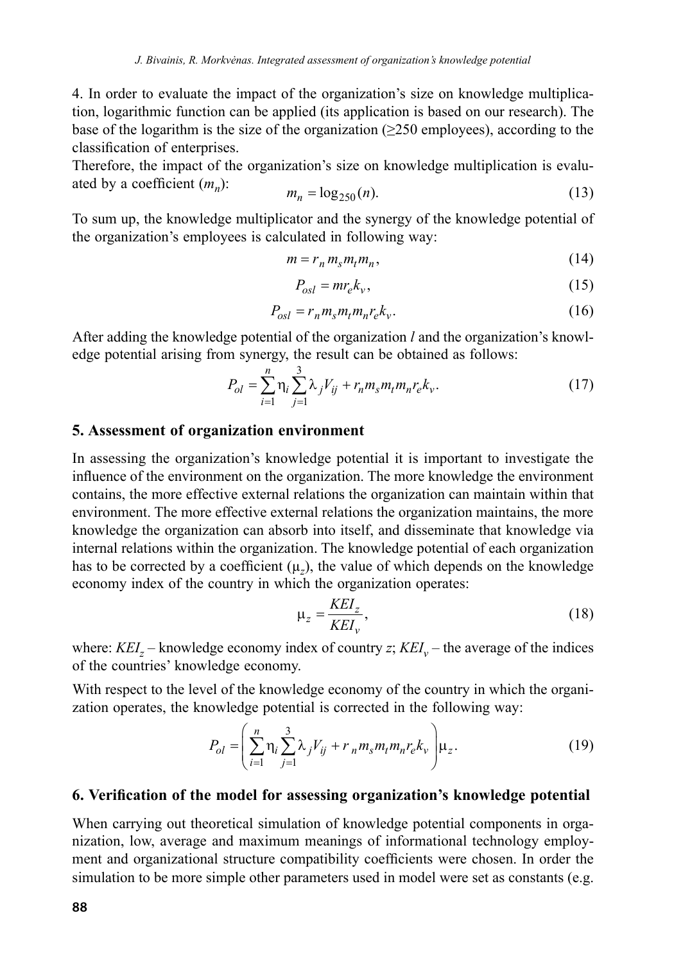4. In order to evaluate the impact of the organization's size on knowledge multiplication, logarithmic function can be applied (its application is based on our research). The base of the logarithm is the size of the organization ( $\geq$ 250 employees), according to the classification of enterprises.

Therefore, the impact of the organization's size on knowledge multiplication is evaluated by a coefficient (*mn*):

$$
m_n = \log_{250}(n). \tag{13}
$$

To sum up, the knowledge multiplicator and the synergy of the knowledge potential of the organization's employees is calculated in following way:

$$
m = r_n m_s m_t m_n, \tag{14}
$$

$$
P_{osl} = mr_e k_v,\tag{15}
$$

$$
P_{osl} = r_n m_s m_t m_n r_e k_v. \tag{16}
$$

After adding the knowledge potential of the organization *l* and the organization's knowledge potential arising from synergy, the result can be obtained as follows:

$$
P_{ol} = \sum_{i=1}^{n} \eta_i \sum_{j=1}^{3} \lambda_j V_{ij} + r_n m_s m_t m_n r_e k_v.
$$
 (17)

#### **5. Assessment of organization environment**

In assessing the organization's knowledge potential it is important to investigate the influence of the environment on the organization. The more knowledge the environment contains, the more effective external relations the organization can maintain within that environment. The more effective external relations the organization maintains, the more knowledge the organization can absorb into itself, and disseminate that knowledge via internal relations within the organization. The knowledge potential of each organization has to be corrected by a coefficient  $(\mu_z)$ , the value of which depends on the knowledge economy index of the country in which the organization operates:

$$
\mu_z = \frac{KEI_z}{KEI_v},\tag{18}
$$

where:  $KEI_z$  – knowledge economy index of country *z*;  $KEI_v$  – the average of the indices of the countries' knowledge economy.

With respect to the level of the knowledge economy of the country in which the organization operates, the knowledge potential is corrected in the following way:

$$
P_{ol} = \left(\sum_{i=1}^{n} \eta_i \sum_{j=1}^{3} \lambda_j V_{ij} + r_n m_s m_t m_n r_e k_v \right) \mu_z.
$$
 (19)

#### **6. Verification of the model for assessing organization's knowledge potential**

When carrying out theoretical simulation of knowledge potential components in organization, low, average and maximum meanings of informational technology employment and organizational structure compatibility coefficients were chosen. In order the simulation to be more simple other parameters used in model were set as constants (e.g.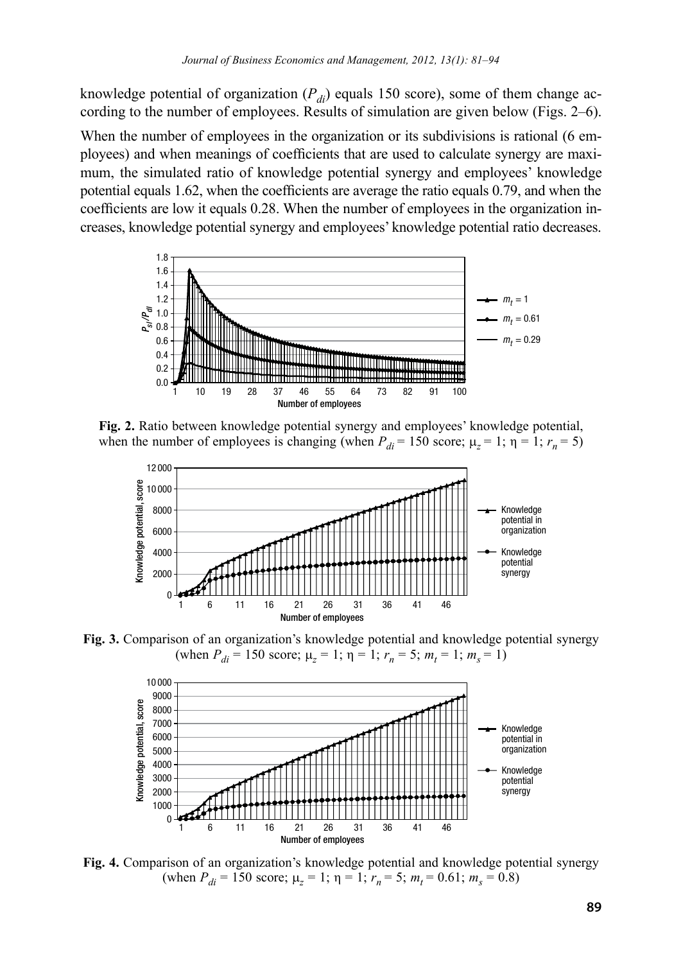knowledge potential of organization  $(P_{di})$  equals 150 score), some of them change according to the number of employees. Results of simulation are given below (Figs. 2–6).

When the number of employees in the organization or its subdivisions is rational (6 employees) and when meanings of coefficients that are used to calculate synergy are maximum, the simulated ratio of knowledge potential synergy and employees' knowledge potential equals 1.62, when the coefficients are average the ratio equals 0.79, and when the coefficients are low it equals 0.28. When the number of employees in the organization increases, knowledge potential synergy and employees' knowledge potential ratio decreases.



**Fig. 2.** Ratio between knowledge potential synergy and employees' knowledge potential, when the number of employees is changing (when  $P_{di} = 150$  score;  $\mu_z = 1$ ;  $\eta = 1$ ;  $r_n = 5$ )



**Fig. 3.** Comparison of an organization's knowledge potential and knowledge potential synergy (when  $P_{di} = 150$  score;  $\mu_z = 1$ ;  $\eta = 1$ ;  $r_n = 5$ ;  $m_t = 1$ ;  $m_s = 1$ )



**Fig. 4.** Comparison of an organization's knowledge potential and knowledge potential synergy (when  $P_{di} = 150$  score;  $\mu_z = 1$ ;  $\eta = 1$ ;  $r_n = 5$ ;  $m_t = 0.61$ ;  $m_s = 0.8$ )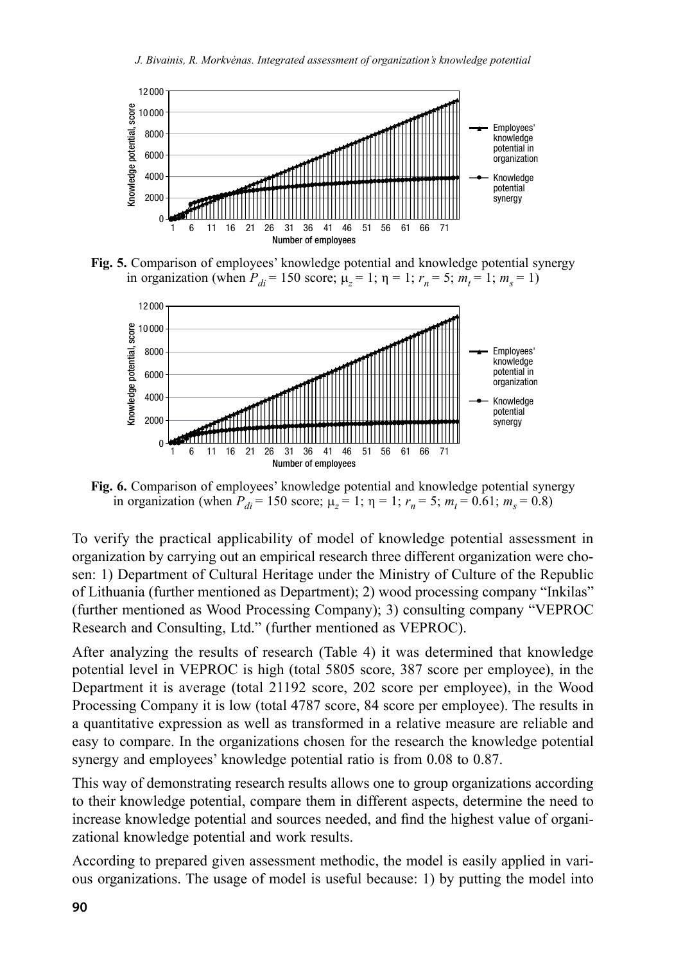

**Fig. 5.** Comparison of employees' knowledge potential and knowledge potential synergy in organization (when  $P_{di} = 150$  score;  $\mu_z = 1$ ;  $\eta = 1$ ;  $r_n = 5$ ;  $m_t = 1$ ;  $m_s = 1$ )



**Fig. 6.** Comparison of employees' knowledge potential and knowledge potential synergy in organization (when  $P_{di} = 150$  score;  $\mu_z = 1$ ;  $\eta = 1$ ;  $r_n = 5$ ;  $m_t = 0.61$ ;  $m_s = 0.8$ )

To verify the practical applicability of model of knowledge potential assessment in organization by carrying out an empirical research three different organization were chosen: 1) Department of Cultural Heritage under the Ministry of Culture of the Republic of Lithuania (further mentioned as Department); 2) wood processing company "Inkilas" (further mentioned as Wood Processing Company); 3) consulting company "VEPROC Research and Consulting, Ltd." (further mentioned as VEPROC).

After analyzing the results of research (Table 4) it was determined that knowledge potential level in VEPROC is high (total 5805 score, 387 score per employee), in the Department it is average (total 21192 score, 202 score per employee), in the Wood Processing Company it is low (total 4787 score, 84 score per employee). The results in a quantitative expression as well as transformed in a relative measure are reliable and easy to compare. In the organizations chosen for the research the knowledge potential synergy and employees' knowledge potential ratio is from 0.08 to 0.87.

This way of demonstrating research results allows one to group organizations according to their knowledge potential, compare them in different aspects, determine the need to increase knowledge potential and sources needed, and find the highest value of organizational knowledge potential and work results.

According to prepared given assessment methodic, the model is easily applied in various organizations. The usage of model is useful because: 1) by putting the model into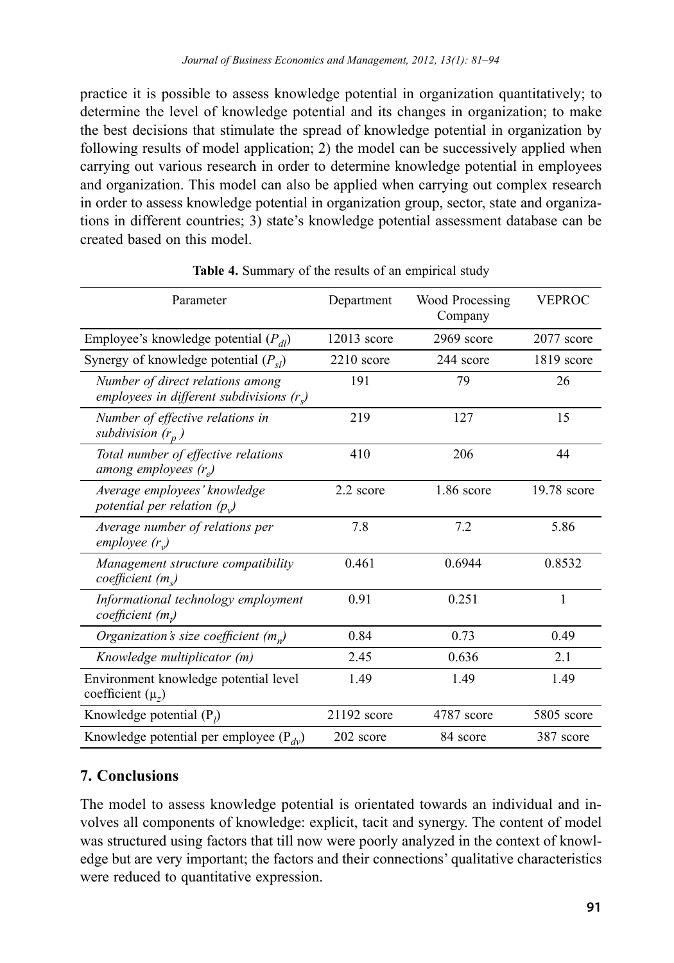practice it is possible to assess knowledge potential in organization quantitatively; to determine the level of knowledge potential and its changes in organization; to make the best decisions that stimulate the spread of knowledge potential in organization by following results of model application; 2) the model can be successively applied when carrying out various research in order to determine knowledge potential in employees and organization. This model can also be applied when carrying out complex research in order to assess knowledge potential in organization group, sector, state and organizations in different countries; 3) state's knowledge potential assessment database can be created based on this model.

| Parameter                                                                     | Department    | Wood Processing<br>Company | <b>VEPROC</b> |
|-------------------------------------------------------------------------------|---------------|----------------------------|---------------|
| Employee's knowledge potential $(P_{dl})$                                     | $12013$ score | 2969 score                 | 2077 score    |
| Synergy of knowledge potential $(P_{sl})$                                     | $2210$ score  | 244 score                  | 1819 score    |
| Number of direct relations among<br>employees in different subdivisions $(r)$ | 191           | 79                         | 26            |
| Number of effective relations in<br>subdivision $(r_n)$                       | 219           | 127                        | 15            |
| Total number of effective relations<br>among employees $(r_e)$                | 410           | 206                        | 44            |
| Average employees' knowledge<br>potential per relation $(p_{y})$              | 2.2 score     | $1.86$ score               | 19.78 score   |
| Average number of relations per<br>employee $(r_v)$                           | 7.8           | 7.2                        | 5.86          |
| Management structure compatibility<br>coefficient(m)                          | 0.461         | 0.6944                     | 0.8532        |
| Informational technology employment<br>coefficient $(m_t)$                    | 0.91          | 0.251                      | 1             |
| Organization's size coefficient $(m_n)$                                       | 0.84          | 0.73                       | 0.49          |
| Knowledge multiplicator (m)                                                   | 2.45          | 0.636                      | 2.1           |
| Environment knowledge potential level<br>coefficient $(\mu_z)$                | 1.49          | 1.49                       | 1.49          |
| Knowledge potential $(P_i)$                                                   | 21192 score   | 4787 score                 | 5805 score    |
| Knowledge potential per employee ( $P_{dv}$ )                                 | 202 score     | 84 score                   | 387 score     |

Table 4. Summary of the results of an empirical study

## **7. Conclusions**

The model to assess knowledge potential is orientated towards an individual and involves all components of knowledge: explicit, tacit and synergy. The content of model was structured using factors that till now were poorly analyzed in the context of knowledge but are very important; the factors and their connections' qualitative characteristics were reduced to quantitative expression.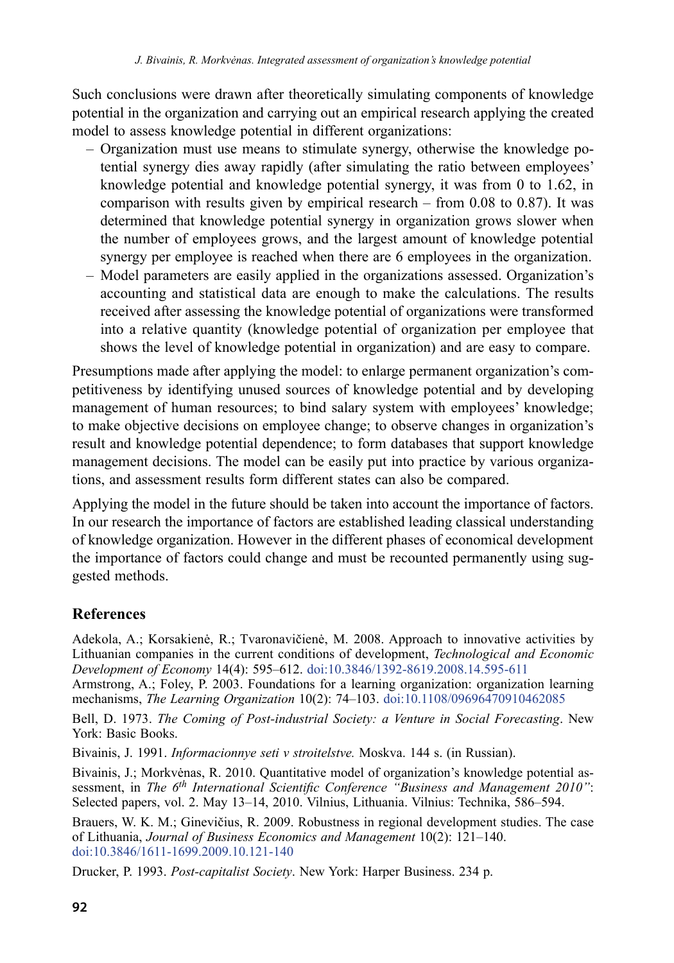Such conclusions were drawn after theoretically simulating components of knowledge potential in the organization and carrying out an empirical research applying the created model to assess knowledge potential in different organizations:

- Organization must use means to stimulate synergy, otherwise the knowledge potential synergy dies away rapidly (after simulating the ratio between employees' knowledge potential and knowledge potential synergy, it was from 0 to 1.62, in comparison with results given by empirical research – from 0.08 to 0.87). It was determined that knowledge potential synergy in organization grows slower when the number of employees grows, and the largest amount of knowledge potential synergy per employee is reached when there are 6 employees in the organization.
- Model parameters are easily applied in the organizations assessed. Organization's accounting and statistical data are enough to make the calculations. The results received after assessing the knowledge potential of organizations were transformed into a relative quantity (knowledge potential of organization per employee that shows the level of knowledge potential in organization) and are easy to compare.

Presumptions made after applying the model: to enlarge permanent organization's competitiveness by identifying unused sources of knowledge potential and by developing management of human resources; to bind salary system with employees' knowledge; to make objective decisions on employee change; to observe changes in organization's result and knowledge potential dependence; to form databases that support knowledge management decisions. The model can be easily put into practice by various organizations, and assessment results form different states can also be compared.

Applying the model in the future should be taken into account the importance of factors. In our research the importance of factors are established leading classical understanding of knowledge organization. However in the different phases of economical development the importance of factors could change and must be recounted permanently using suggested methods.

# **References**

Adekola, A.; Korsakienė, R.; Tvaronavičienė, M. 2008. Approach to innovative activities by Lithuanian companies in the current conditions of development, *Technological and Economic Development of Economy* 14(4): 595–612. [doi:10.3846/1392-8619.2008.14.595-611](http://dx.doi.org/10.3846/1392-8619.2008.14.595-611)

Armstrong, A.; Foley, P. 2003. Foundations for a learning organization: organization learning mechanisms, *The Learning Organization* 10(2): 74–103. [doi:10.1108/09696470910462085](http://dx.doi.org/10.1108/09696470910462085)

Bell, D. 1973. *The Coming of Post-industrial Society: a Venture in Social Forecasting*. New York: Basic Books.

Bivainis, J. 1991. *Informacionnye seti v stroitelstve.* Moskva. 144 s. (in Russian).

Bivainis, J.; Morkvėnas, R. 2010. Quantitative model of organization's knowledge potential assessment, in *The 6th International Scientific Conference "Business and Management 2010"*: Selected papers, vol. 2. May 13–14, 2010. Vilnius, Lithuania. Vilnius: Technika, 586–594.

Brauers, W. K. M.; Ginevičius, R. 2009. Robustness in regional development studies. The case of Lithuania, *Journal of Business Economics and Management* 10(2): 121–140. [doi:10.3846/1611-1699.2009.10.121-140](http://dx.doi.org/10.3846/1611-1699.2009.10.121-140)

Drucker, P. 1993. *Post-capitalist Society*. New York: Harper Business. 234 p.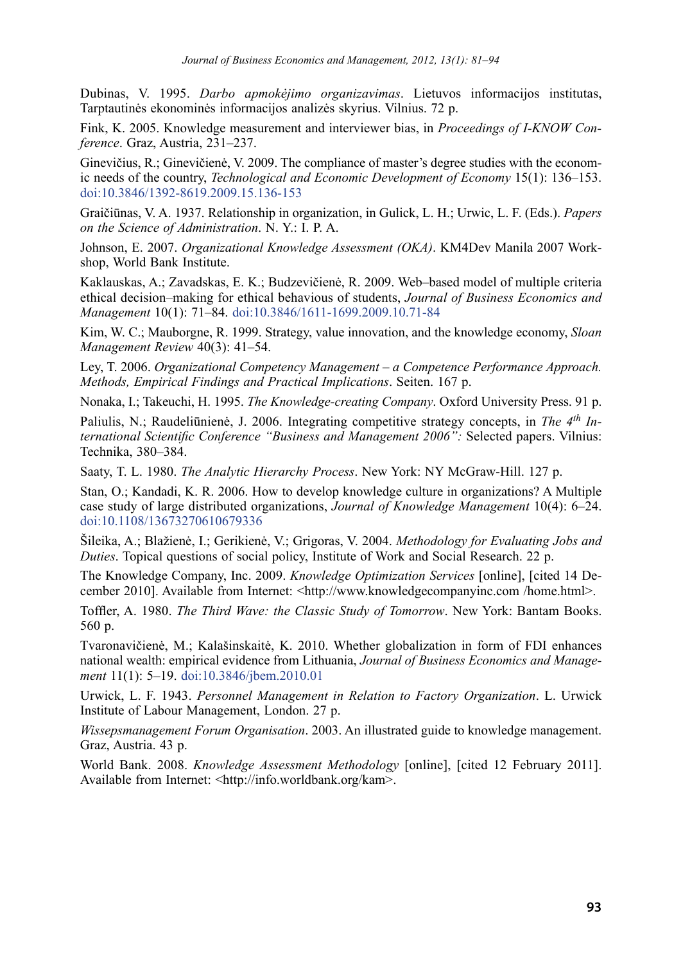Dubinas, V. 1995. *Darbo apmokėjimo organizavimas*. Lietuvos informacijos institutas, Tarptautinės ekonominės informacijos analizės skyrius. Vilnius. 72 p.

Fink, K. 2005. Knowledge measurement and interviewer bias, in *Proceedings of I-KNOW Conference*. Graz, Austria, 231–237.

Ginevičius, R.; Ginevičienė, V. 2009. The compliance of master's degree studies with the economic needs of the country, *Technological and Economic Development of Economy* 15(1): 136–153. [doi:10.3846/1392-8619.2009.15.136-153](http://dx.doi.org/10.3846/1392-8619.2009.15.136-153)

Graičiūnas, V. A. 1937. Relationship in organization, in Gulick, L. H.; Urwic, L. F. (Eds.). *Papers on the Science of Administration*. N. Y.: I. P. A.

Johnson, E. 2007. *Organizational Knowledge Assessment (OKA)*. KM4Dev Manila 2007 Workshop, World Bank Institute.

Kaklauskas, A.; Zavadskas, E. K.; Budzevičienė, R. 2009. Web–based model of multiple criteria ethical decision–making for ethical behavious of students, *Journal of Business Economics and Management* 10(1): 71–84. [doi:10.3846/1611-1699.2009.10.71-84](http://dx.doi.org/10.3846/1611-1699.2009.10.71-84)

Kim, W. C.; Mauborgne, R. 1999. Strategy, value innovation, and the knowledge economy, *Sloan Management Review* 40(3): 41–54.

Ley, T. 2006. *Organizational Competency Management – a Competence Performance Approach. Methods, Empirical Findings and Practical Implications*. Seiten. 167 p.

Nonaka, I.; Takeuchi, H. 1995. *The Knowledge-creating Company*. Oxford University Press. 91 p.

Paliulis, N.; Raudeliūnienė, J. 2006. Integrating competitive strategy concepts, in *The 4th International Scientific Conference "Business and Management 2006":* Selected papers. Vilnius: Technika, 380–384.

Saaty, T. L. 1980. *The Analytic Hierarchy Process*. New York: NY McGraw-Hill. 127 p.

Stan, O.; Kandadi, K. R. 2006. How to develop knowledge culture in organizations? A Multiple case study of large distributed organizations, *Journal of Knowledge Management* 10(4): 6–24. [doi:10.1108/13673270610679336](http://dx.doi.org/10.1108/13673270610679336)

Šileika, A.; Blažienė, I.; Gerikienė, V.; Grigoras, V. 2004. *Methodology for Evaluating Jobs and Duties*. Topical questions of social policy, Institute of Work and Social Research. 22 p.

The Knowledge Company, Inc. 2009. *Knowledge Optimization Services* [online], [cited 14 December 2010]. Available from Internet: <http://www.knowledgecompanyinc.com /home.html>.

Toffler, A. 1980. *The Third Wave: the Classic Study of Tomorrow*. New York: Bantam Books. 560 p.

Tvaronavičienė, M.; Kalašinskaitė, K. 2010. Whether globalization in form of FDI enhances national wealth: empirical evidence from Lithuania, *Journal of Business Economics and Management* 11(1): 5–19. [doi:10.3846/jbem.2010.01](http://dx.doi.org/10.3846/jbem.2010.01)

Urwick, L. F. 1943. *Personnel Management in Relation to Factory Organization*. L. Urwick Institute of Labour Management, London. 27 p.

*Wissepsmanagement Forum Organisation*. 2003. An illustrated guide to knowledge management. Graz, Austria. 43 p.

World Bank. 2008. *Knowledge Assessment Methodology* [online], [cited 12 February 2011]. Available from Internet: <http://info.worldbank.org/kam>.